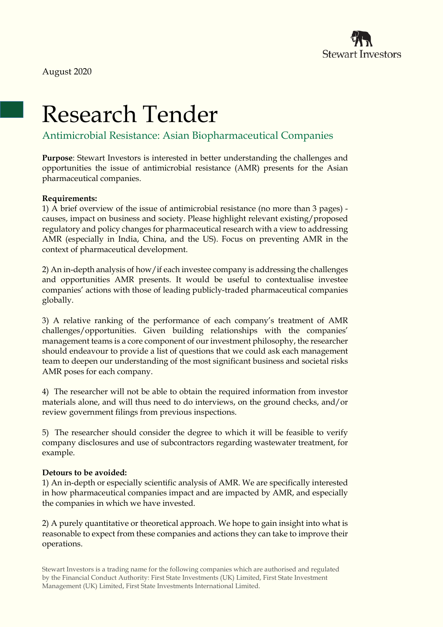

# Research Tender

Antimicrobial Resistance: Asian Biopharmaceutical Companies

**Purpose**: Stewart Investors is interested in better understanding the challenges and opportunities the issue of antimicrobial resistance (AMR) presents for the Asian pharmaceutical companies.

### **Requirements:**

1) A brief overview of the issue of antimicrobial resistance (no more than 3 pages) causes, impact on business and society. Please highlight relevant existing/proposed regulatory and policy changes for pharmaceutical research with a view to addressing AMR (especially in India, China, and the US). Focus on preventing AMR in the context of pharmaceutical development.

2) An in-depth analysis of how/if each investee company is addressing the challenges and opportunities AMR presents. It would be useful to contextualise investee companies' actions with those of leading publicly-traded pharmaceutical companies globally.

3) A relative ranking of the performance of each company's treatment of AMR challenges/opportunities. Given building relationships with the companies' management teams is a core component of our investment philosophy, the researcher should endeavour to provide a list of questions that we could ask each management team to deepen our understanding of the most significant business and societal risks AMR poses for each company.

4) The researcher will not be able to obtain the required information from investor materials alone, and will thus need to do interviews, on the ground checks, and/or review government filings from previous inspections.

5) The researcher should consider the degree to which it will be feasible to verify company disclosures and use of subcontractors regarding wastewater treatment, for example.

### **Detours to be avoided:**

1) An in-depth or especially scientific analysis of AMR. We are specifically interested in how pharmaceutical companies impact and are impacted by AMR, and especially the companies in which we have invested.

2) A purely quantitative or theoretical approach. We hope to gain insight into what is reasonable to expect from these companies and actions they can take to improve their operations.

Stewart Investors is a trading name for the following companies which are authorised and regulated by the Financial Conduct Authority: First State Investments (UK) Limited, First State Investment Management (UK) Limited, First State Investments International Limited.